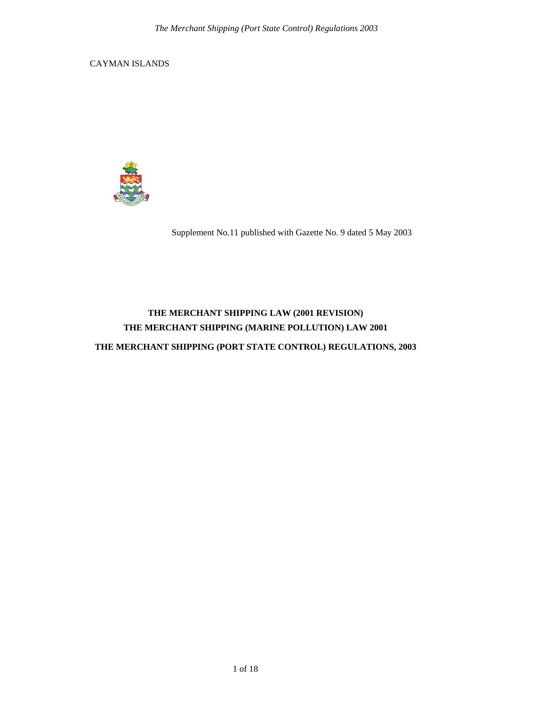CAYMAN ISLANDS



Supplement No.11 published with Gazette No. 9 dated 5 May 2003

# **THE MERCHANT SHIPPING LAW (2001 REVISION) THE MERCHANT SHIPPING (MARINE POLLUTION) LAW 2001**

**THE MERCHANT SHIPPING (PORT STATE CONTROL) REGULATIONS, 2003**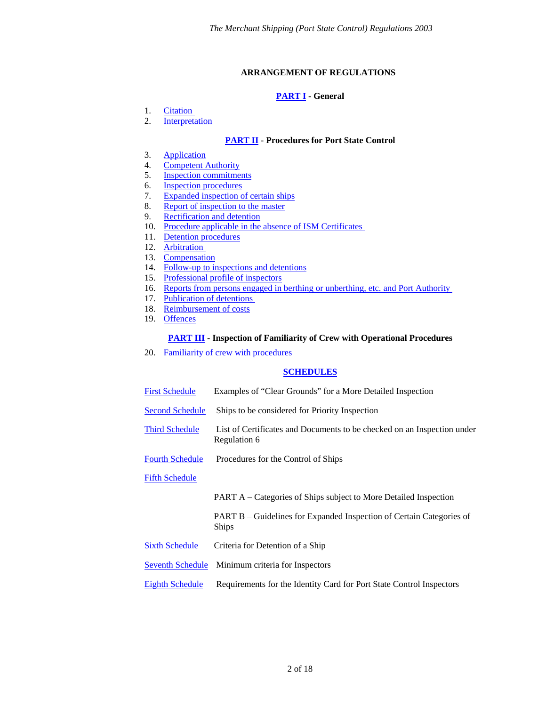# **ARRANGEMENT OF REGULATIONS**

# **[PART I](#page-2-0) - General**

- <span id="page-1-0"></span>1. [Citation](#page-2-1)
- 2. [Interpretation](#page-2-2)

# **[PART II](#page-3-0) - Procedures for Port State Control**

- 3. [Application](#page-3-1)
- 4. [Competent Authority](#page-3-2)
- 5. [Inspection commitments](#page-4-0)
- 6. [Inspection procedures](#page-4-1)
- 7. [Expanded inspection of certain ships](#page-4-2)
- 8. [Report of inspection to the master](#page-4-3)
- 9. [Rectification and detention](#page-4-4)
- 10. [Procedure applicable in the absence of ISM Certificates](#page-5-0)
- 11. [Detention procedures](#page-5-1)
- 12. [Arbitration](#page-6-0)
- 13. [Compensation](#page-6-1)
- 14. [Follow-up to inspections and detentions](#page-6-2)
- 15. [Professional profile of inspectors](#page-7-0)
- 16. [Reports from persons engaged in berthing or unberthing, etc. and Port Authority](#page-7-1)
- 17. [Publication of detentions](#page-8-0)
- 18. [Reimbursement of costs](#page-8-1)
- 19. [Offences](#page-8-2)

# **[PART III](#page-8-3)** - **Inspection of Familiarity of Crew with Operational Procedures**

20. [Familiarity of crew with procedures](#page-8-4) 

# **[SCHEDULES](#page-9-0)**

- [First Schedule](#page-9-0) Examples of "Clear Grounds" for a More Detailed Inspection
- [Second Schedule](#page-10-0) Ships to be considered for Priority Inspection
- [Third Schedule](#page-10-1) List of Certificates and Documents to be checked on an Inspection under Regulation 6
- [Fourth Schedule](#page-11-0) Procedures for the Control of Ships

# [Fifth Schedule](#page-11-1)

- PART A Categories of Ships subject to More Detailed Inspection
- PART B Guidelines for Expanded Inspection of Certain Categories of Ships
- [Sixth Schedule](#page-13-0) Criteria for Detention of a Ship
- [Seventh Schedule](#page-17-0) Minimum criteria for Inspectors
- [Eighth Schedule](#page-17-1) Requirements for the Identity Card for Port State Control Inspectors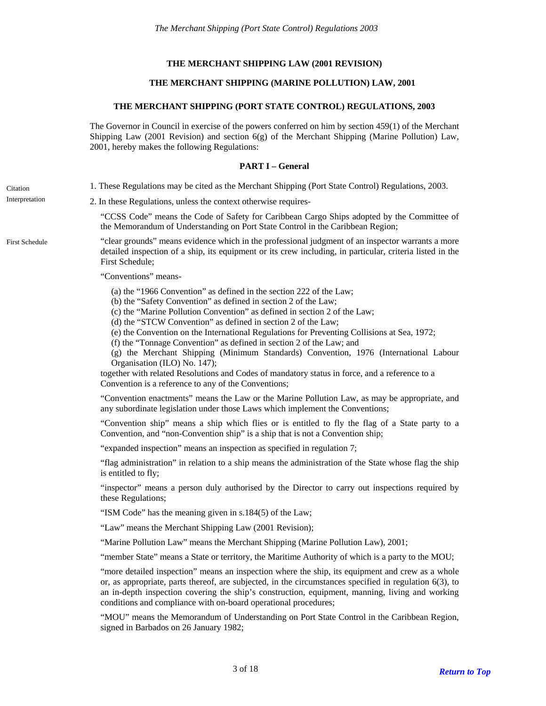# **THE MERCHANT SHIPPING LAW (2001 REVISION)**

# **THE MERCHANT SHIPPING (MARINE POLLUTION) LAW, 2001**

#### **THE MERCHANT SHIPPING (PORT STATE CONTROL) REGULATIONS, 2003**

The Governor in Council in exercise of the powers conferred on him by section 459(1) of the Merchant Shipping Law (2001 Revision) and section 6(g) of the Merchant Shipping (Marine Pollution) Law, 2001, hereby makes the following Regulations:

## **PART I – General**

- <span id="page-2-1"></span><span id="page-2-0"></span>Citation 1. These Regulations may be cited as the Merchant Shipping (Port State Control) Regulations, 2003.
- <span id="page-2-2"></span>Interpretation 2. In these Regulations, unless the context otherwise requires-

"CCSS Code" means the Code of Safety for Caribbean Cargo Ships adopted by the Committee of the Memorandum of Understanding on Port State Control in the Caribbean Region;

"clear grounds" means evidence which in the professional judgment of an inspector warrants a more detailed inspection of a ship, its equipment or its crew including, in particular, criteria listed in the First Schedule;

"Conventions" means-

- (a) the "1966 Convention" as defined in the section 222 of the Law;
- (b) the "Safety Convention" as defined in section 2 of the Law;
- (c) the "Marine Pollution Convention" as defined in section 2 of the Law;
- (d) the "STCW Convention" as defined in section 2 of the Law;
- (e) the Convention on the International Regulations for Preventing Collisions at Sea, 1972;
- (f) the "Tonnage Convention" as defined in section 2 of the Law; and

(g) the Merchant Shipping (Minimum Standards) Convention, 1976 (International Labour Organisation (ILO) No. 147);

together with related Resolutions and Codes of mandatory status in force, and a reference to a Convention is a reference to any of the Conventions;

"Convention enactments" means the Law or the Marine Pollution Law, as may be appropriate, and any subordinate legislation under those Laws which implement the Conventions;

"Convention ship" means a ship which flies or is entitled to fly the flag of a State party to a Convention, and "non-Convention ship" is a ship that is not a Convention ship;

"expanded inspection" means an inspection as specified in regulation 7;

"flag administration" in relation to a ship means the administration of the State whose flag the ship is entitled to fly;

"inspector" means a person duly authorised by the Director to carry out inspections required by these Regulations;

"ISM Code" has the meaning given in s.184(5) of the Law;

"Law" means the Merchant Shipping Law (2001 Revision);

"Marine Pollution Law" means the Merchant Shipping (Marine Pollution Law), 2001;

"member State" means a State or territory, the Maritime Authority of which is a party to the MOU;

"more detailed inspection" means an inspection where the ship, its equipment and crew as a whole or, as appropriate, parts thereof, are subjected, in the circumstances specified in regulation 6(3), to an in-depth inspection covering the ship's construction, equipment, manning, living and working conditions and compliance with on-board operational procedures;

"MOU" means the Memorandum of Understanding on Port State Control in the Caribbean Region, signed in Barbados on 26 January 1982;

3 of 18 *[Return to Top](#page-1-0)*

First Schedule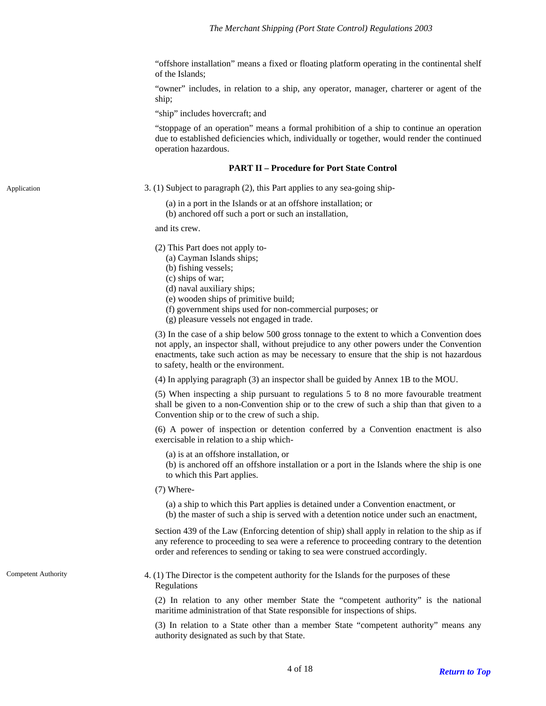"offshore installation" means a fixed or floating platform operating in the continental shelf of the Islands;

"owner" includes, in relation to a ship, any operator, manager, charterer or agent of the ship;

"ship" includes hovercraft; and

"stoppage of an operation" means a formal prohibition of a ship to continue an operation due to established deficiencies which, individually or together, would render the continued operation hazardous.

# **PART II – Procedure for Port State Control**

<span id="page-3-1"></span><span id="page-3-0"></span>Application 3. (1) Subject to paragraph (2), this Part applies to any sea-going ship-

(a) in a port in the Islands or at an offshore installation; or

(b) anchored off such a port or such an installation,

and its crew.

(2) This Part does not apply to-

(a) Cayman Islands ships;

(b) fishing vessels;

(c) ships of war;

(d) naval auxiliary ships;

- (e) wooden ships of primitive build;
- (f) government ships used for non-commercial purposes; or
- (g) pleasure vessels not engaged in trade.

(3) In the case of a ship below 500 gross tonnage to the extent to which a Convention does not apply, an inspector shall, without prejudice to any other powers under the Convention enactments, take such action as may be necessary to ensure that the ship is not hazardous to safety, health or the environment.

(4) In applying paragraph (3) an inspector shall be guided by Annex 1B to the MOU.

(5) When inspecting a ship pursuant to regulations 5 to 8 no more favourable treatment shall be given to a non-Convention ship or to the crew of such a ship than that given to a Convention ship or to the crew of such a ship.

(6) A power of inspection or detention conferred by a Convention enactment is also exercisable in relation to a ship which-

(a) is at an offshore installation, or

(b) is anchored off an offshore installation or a port in the Islands where the ship is one to which this Part applies.

(7) Where-

(a) a ship to which this Part applies is detained under a Convention enactment, or

(b) the master of such a ship is served with a detention notice under such an enactment,

section 439 of the Law (Enforcing detention of ship) shall apply in relation to the ship as if any reference to proceeding to sea were a reference to proceeding contrary to the detention order and references to sending or taking to sea were construed accordingly.

<span id="page-3-2"></span>Competent Authority 4. (1) The Director is the competent authority for the Islands for the purposes of these Regulations

> (2) In relation to any other member State the "competent authority" is the national maritime administration of that State responsible for inspections of ships.

> (3) In relation to a State other than a member State "competent authority" means any authority designated as such by that State.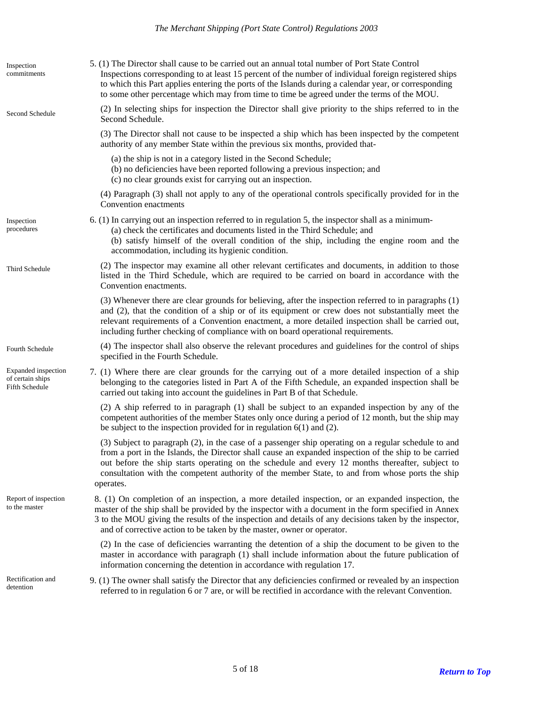<span id="page-4-4"></span><span id="page-4-3"></span><span id="page-4-2"></span><span id="page-4-1"></span><span id="page-4-0"></span>

| Inspection<br>commitments                                 | 5. (1) The Director shall cause to be carried out an annual total number of Port State Control<br>Inspections corresponding to at least 15 percent of the number of individual foreign registered ships<br>to which this Part applies entering the ports of the Islands during a calendar year, or corresponding<br>to some other percentage which may from time to time be agreed under the terms of the MOU.                   |
|-----------------------------------------------------------|----------------------------------------------------------------------------------------------------------------------------------------------------------------------------------------------------------------------------------------------------------------------------------------------------------------------------------------------------------------------------------------------------------------------------------|
| Second Schedule                                           | (2) In selecting ships for inspection the Director shall give priority to the ships referred to in the<br>Second Schedule.                                                                                                                                                                                                                                                                                                       |
|                                                           | (3) The Director shall not cause to be inspected a ship which has been inspected by the competent<br>authority of any member State within the previous six months, provided that-                                                                                                                                                                                                                                                |
|                                                           | (a) the ship is not in a category listed in the Second Schedule;<br>(b) no deficiencies have been reported following a previous inspection; and<br>(c) no clear grounds exist for carrying out an inspection.                                                                                                                                                                                                                    |
|                                                           | (4) Paragraph (3) shall not apply to any of the operational controls specifically provided for in the<br>Convention enactments                                                                                                                                                                                                                                                                                                   |
| Inspection<br>procedures                                  | 6. (1) In carrying out an inspection referred to in regulation 5, the inspector shall as a minimum-<br>(a) check the certificates and documents listed in the Third Schedule; and<br>(b) satisfy himself of the overall condition of the ship, including the engine room and the<br>accommodation, including its hygienic condition.                                                                                             |
| Third Schedule                                            | (2) The inspector may examine all other relevant certificates and documents, in addition to those<br>listed in the Third Schedule, which are required to be carried on board in accordance with the<br>Convention enactments.                                                                                                                                                                                                    |
|                                                           | (3) Whenever there are clear grounds for believing, after the inspection referred to in paragraphs (1)<br>and (2), that the condition of a ship or of its equipment or crew does not substantially meet the<br>relevant requirements of a Convention enactment, a more detailed inspection shall be carried out,<br>including further checking of compliance with on board operational requirements.                             |
| Fourth Schedule                                           | (4) The inspector shall also observe the relevant procedures and guidelines for the control of ships<br>specified in the Fourth Schedule.                                                                                                                                                                                                                                                                                        |
| Expanded inspection<br>of certain ships<br>Fifth Schedule | 7. (1) Where there are clear grounds for the carrying out of a more detailed inspection of a ship<br>belonging to the categories listed in Part A of the Fifth Schedule, an expanded inspection shall be<br>carried out taking into account the guidelines in Part B of that Schedule.                                                                                                                                           |
|                                                           | (2) A ship referred to in paragraph (1) shall be subject to an expanded inspection by any of the<br>competent authorities of the member States only once during a period of 12 month, but the ship may<br>be subject to the inspection provided for in regulation $6(1)$ and (2).                                                                                                                                                |
|                                                           | (3) Subject to paragraph (2), in the case of a passenger ship operating on a regular schedule to and<br>from a port in the Islands, the Director shall cause an expanded inspection of the ship to be carried<br>out before the ship starts operating on the schedule and every 12 months thereafter, subject to<br>consultation with the competent authority of the member State, to and from whose ports the ship<br>operates. |
| Report of inspection<br>to the master                     | 8. (1) On completion of an inspection, a more detailed inspection, or an expanded inspection, the<br>master of the ship shall be provided by the inspector with a document in the form specified in Annex<br>3 to the MOU giving the results of the inspection and details of any decisions taken by the inspector,<br>and of corrective action to be taken by the master, owner or operator.                                    |
|                                                           | (2) In the case of deficiencies warranting the detention of a ship the document to be given to the<br>master in accordance with paragraph (1) shall include information about the future publication of<br>information concerning the detention in accordance with regulation 17.                                                                                                                                                |
| Rectification and<br>detention                            | 9. (1) The owner shall satisfy the Director that any deficiencies confirmed or revealed by an inspection<br>referred to in regulation 6 or 7 are, or will be rectified in accordance with the relevant Convention.                                                                                                                                                                                                               |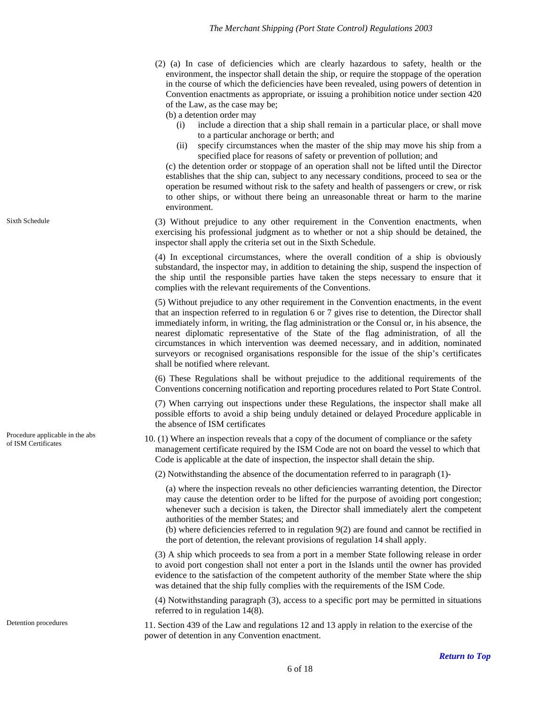(2) (a) In case of deficiencies which are clearly hazardous to safety, health or the environment, the inspector shall detain the ship, or require the stoppage of the operation in the course of which the deficiencies have been revealed, using powers of detention in Convention enactments as appropriate, or issuing a prohibition notice under section 420 of the Law, as the case may be;

(b) a detention order may

- (i) include a direction that a ship shall remain in a particular place, or shall move to a particular anchorage or berth; and
- (ii) specify circumstances when the master of the ship may move his ship from a specified place for reasons of safety or prevention of pollution; and

(c) the detention order or stoppage of an operation shall not be lifted until the Director establishes that the ship can, subject to any necessary conditions, proceed to sea or the operation be resumed without risk to the safety and health of passengers or crew, or risk to other ships, or without there being an unreasonable threat or harm to the marine environment.

(3) Without prejudice to any other requirement in the Convention enactments, when exercising his professional judgment as to whether or not a ship should be detained, the inspector shall apply the criteria set out in the Sixth Schedule.

(4) In exceptional circumstances, where the overall condition of a ship is obviously substandard, the inspector may, in addition to detaining the ship, suspend the inspection of the ship until the responsible parties have taken the steps necessary to ensure that it complies with the relevant requirements of the Conventions.

(5) Without prejudice to any other requirement in the Convention enactments, in the event that an inspection referred to in regulation 6 or 7 gives rise to detention, the Director shall immediately inform, in writing, the flag administration or the Consul or, in his absence, the nearest diplomatic representative of the State of the flag administration, of all the circumstances in which intervention was deemed necessary, and in addition, nominated surveyors or recognised organisations responsible for the issue of the ship's certificates shall be notified where relevant.

(6) These Regulations shall be without prejudice to the additional requirements of the Conventions concerning notification and reporting procedures related to Port State Control.

(7) When carrying out inspections under these Regulations, the inspector shall make all possible efforts to avoid a ship being unduly detained or delayed Procedure applicable in the absence of ISM certificates

<span id="page-5-0"></span>Procedure applicable in the abs<br>of ISM Certificates 10. (1) Where an inspection reveals that a copy of the document of compliance or the safety management certificate required by the ISM Code are not on board the vessel to which that Code is applicable at the date of inspection, the inspector shall detain the ship.

(2) Notwithstanding the absence of the documentation referred to in paragraph (1)-

(a) where the inspection reveals no other deficiencies warranting detention, the Director may cause the detention order to be lifted for the purpose of avoiding port congestion; whenever such a decision is taken, the Director shall immediately alert the competent authorities of the member States; and

(b) where deficiencies referred to in regulation 9(2) are found and cannot be rectified in the port of detention, the relevant provisions of regulation 14 shall apply.

(3) A ship which proceeds to sea from a port in a member State following release in order to avoid port congestion shall not enter a port in the Islands until the owner has provided evidence to the satisfaction of the competent authority of the member State where the ship was detained that the ship fully complies with the requirements of the ISM Code.

(4) Notwithstanding paragraph (3), access to a specific port may be permitted in situations referred to in regulation 14(8).

<span id="page-5-1"></span>Detention procedures 11. Section 439 of the Law and regulations 12 and 13 apply in relation to the exercise of the power of detention in any Convention enactment.

Sixth Schedule

Procedure applicable in the abs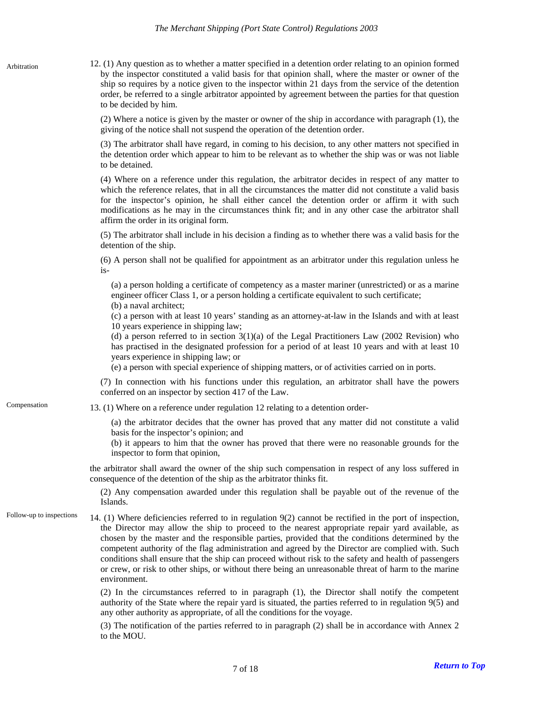<span id="page-6-0"></span>12. (1) Any question as to whether a matter specified in a detention order relating to an opinion formed by the inspector constituted a valid basis for that opinion shall, where the master or owner of the ship so requires by a notice given to the inspector within 21 days from the service of the detention order, be referred to a single arbitrator appointed by agreement between the parties for that question to be decided by him. Arbitration

> (2) Where a notice is given by the master or owner of the ship in accordance with paragraph (1), the giving of the notice shall not suspend the operation of the detention order.

> (3) The arbitrator shall have regard, in coming to his decision, to any other matters not specified in the detention order which appear to him to be relevant as to whether the ship was or was not liable to be detained.

> (4) Where on a reference under this regulation, the arbitrator decides in respect of any matter to which the reference relates, that in all the circumstances the matter did not constitute a valid basis for the inspector's opinion, he shall either cancel the detention order or affirm it with such modifications as he may in the circumstances think fit; and in any other case the arbitrator shall affirm the order in its original form.

> (5) The arbitrator shall include in his decision a finding as to whether there was a valid basis for the detention of the ship.

> (6) A person shall not be qualified for appointment as an arbitrator under this regulation unless he is-

(a) a person holding a certificate of competency as a master mariner (unrestricted) or as a marine engineer officer Class 1, or a person holding a certificate equivalent to such certificate; (b) a naval architect;

(c) a person with at least 10 years' standing as an attorney-at-law in the Islands and with at least 10 years experience in shipping law;

(d) a person referred to in section  $3(1)(a)$  of the Legal Practitioners Law (2002 Revision) who has practised in the designated profession for a period of at least 10 years and with at least 10 years experience in shipping law; or

(e) a person with special experience of shipping matters, or of activities carried on in ports.

(7) In connection with his functions under this regulation, an arbitrator shall have the powers conferred on an inspector by section 417 of the Law.

<span id="page-6-1"></span>Compensation 13. (1) Where on a reference under regulation 12 relating to a detention order-

(a) the arbitrator decides that the owner has proved that any matter did not constitute a valid basis for the inspector's opinion; and

(b) it appears to him that the owner has proved that there were no reasonable grounds for the inspector to form that opinion,

the arbitrator shall award the owner of the ship such compensation in respect of any loss suffered in consequence of the detention of the ship as the arbitrator thinks fit.

(2) Any compensation awarded under this regulation shall be payable out of the revenue of the Islands.

<span id="page-6-2"></span>Follow-up to inspections 14. (1) Where deficiencies referred to in regulation 9(2) cannot be rectified in the port of inspection, the Director may allow the ship to proceed to the nearest appropriate repair yard available, as chosen by the master and the responsible parties, provided that the conditions determined by the competent authority of the flag administration and agreed by the Director are complied with. Such conditions shall ensure that the ship can proceed without risk to the safety and health of passengers or crew, or risk to other ships, or without there being an unreasonable threat of harm to the marine environment.

> (2) In the circumstances referred to in paragraph (1), the Director shall notify the competent authority of the State where the repair yard is situated, the parties referred to in regulation 9(5) and any other authority as appropriate, of all the conditions for the voyage.

> (3) The notification of the parties referred to in paragraph (2) shall be in accordance with Annex 2 to the MOU.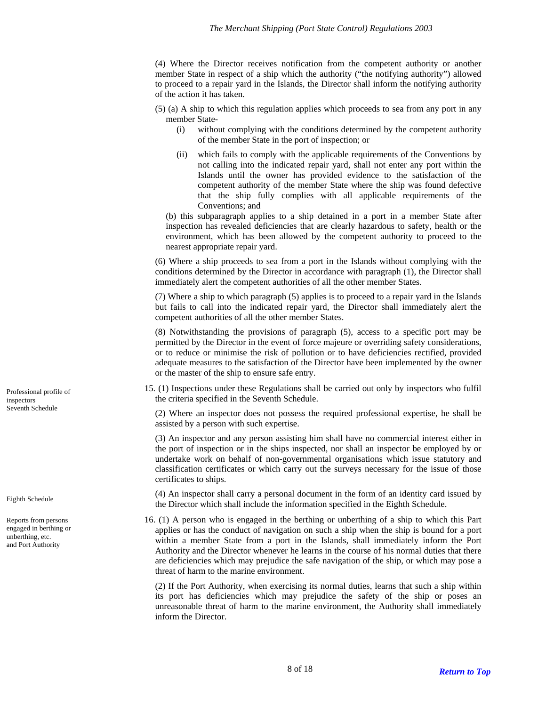(4) Where the Director receives notification from the competent authority or another member State in respect of a ship which the authority ("the notifying authority") allowed to proceed to a repair yard in the Islands, the Director shall inform the notifying authority of the action it has taken.

- (5) (a) A ship to which this regulation applies which proceeds to sea from any port in any member State-
	- (i) without complying with the conditions determined by the competent authority of the member State in the port of inspection; or
	- (ii) which fails to comply with the applicable requirements of the Conventions by not calling into the indicated repair yard, shall not enter any port within the Islands until the owner has provided evidence to the satisfaction of the competent authority of the member State where the ship was found defective that the ship fully complies with all applicable requirements of the Conventions; and

(b) this subparagraph applies to a ship detained in a port in a member State after inspection has revealed deficiencies that are clearly hazardous to safety, health or the environment, which has been allowed by the competent authority to proceed to the nearest appropriate repair yard.

(6) Where a ship proceeds to sea from a port in the Islands without complying with the conditions determined by the Director in accordance with paragraph (1), the Director shall immediately alert the competent authorities of all the other member States.

(7) Where a ship to which paragraph (5) applies is to proceed to a repair yard in the Islands but fails to call into the indicated repair yard, the Director shall immediately alert the competent authorities of all the other member States.

(8) Notwithstanding the provisions of paragraph (5), access to a specific port may be permitted by the Director in the event of force majeure or overriding safety considerations, or to reduce or minimise the risk of pollution or to have deficiencies rectified, provided adequate measures to the satisfaction of the Director have been implemented by the owner or the master of the ship to ensure safe entry.

<span id="page-7-0"></span>15. (1) Inspections under these Regulations shall be carried out only by inspectors who fulfil Professional profile of 15. (1) Inspections under these Regulations shall<br>the criteria specified in the Seventh Schedule.

Seventh Schedule (2) Where an inspector does not possess the required professional expertise, he shall be assisted by a person with such expertise.

> (3) An inspector and any person assisting him shall have no commercial interest either in the port of inspection or in the ships inspected, nor shall an inspector be employed by or undertake work on behalf of non-governmental organisations which issue statutory and classification certificates or which carry out the surveys necessary for the issue of those certificates to ships.

(4) An inspector shall carry a personal document in the form of an identity card issued by Eighth Schedule<br>the Director which shall include the information specified in the Eighth Schedule.

> 16. (1) A person who is engaged in the berthing or unberthing of a ship to which this Part applies or has the conduct of navigation on such a ship when the ship is bound for a port within a member State from a port in the Islands, shall immediately inform the Port Authority and the Director whenever he learns in the course of his normal duties that there are deficiencies which may prejudice the safe navigation of the ship, or which may pose a threat of harm to the marine environment.

(2) If the Port Authority, when exercising its normal duties, learns that such a ship within its port has deficiencies which may prejudice the safety of the ship or poses an unreasonable threat of harm to the marine environment, the Authority shall immediately inform the Director.

inspectors

<span id="page-7-1"></span>Reports from persons engaged in berthing or unberthing, etc. and Port Authority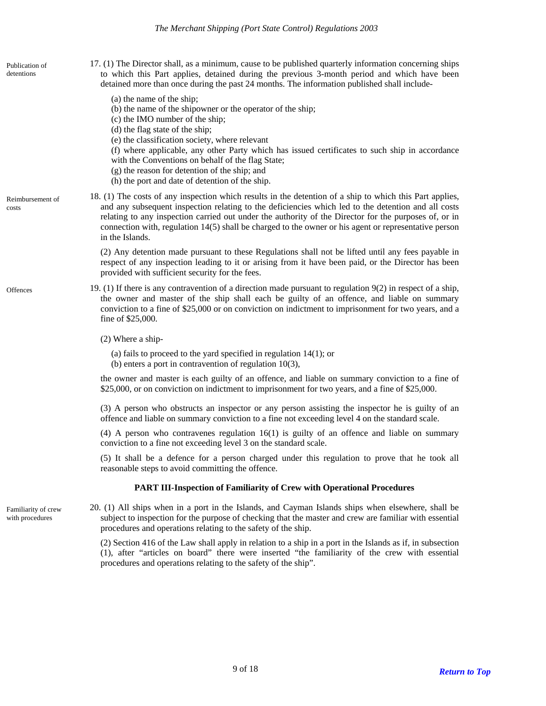<span id="page-8-2"></span><span id="page-8-1"></span><span id="page-8-0"></span>17. (1) The Director shall, as a minimum, cause to be published quarterly information concerning ships to which this Part applies, detained during the previous 3-month period and which have been detained more than once during the past 24 months. The information published shall include-Publication of detentions (a) the name of the ship; (b) the name of the shipowner or the operator of the ship; (c) the IMO number of the ship; (d) the flag state of the ship; (e) the classification society, where relevant (f) where applicable, any other Party which has issued certificates to such ship in accordance with the Conventions on behalf of the flag State; (g) the reason for detention of the ship; and (h) the port and date of detention of the ship. 18. (1) The costs of any inspection which results in the detention of a ship to which this Part applies, and any subsequent inspection relating to the deficiencies which led to the detention and all costs relating to any inspection carried out under the authority of the Director for the purposes of, or in connection with, regulation 14(5) shall be charged to the owner or his agent or representative person in the Islands. Reimbursement of costs (2) Any detention made pursuant to these Regulations shall not be lifted until any fees payable in respect of any inspection leading to it or arising from it have been paid, or the Director has been provided with sufficient security for the fees. 19. (1) If there is any contravention of a direction made pursuant to regulation 9(2) in respect of a ship, the owner and master of the ship shall each be guilty of an offence, and liable on summary conviction to a fine of \$25,000 or on conviction on indictment to imprisonment for two years, and a fine of \$25,000. **Offences** (2) Where a ship- (a) fails to proceed to the yard specified in regulation 14(1); or (b) enters a port in contravention of regulation 10(3), the owner and master is each guilty of an offence, and liable on summary conviction to a fine of \$25,000, or on conviction on indictment to imprisonment for two years, and a fine of \$25,000. (3) A person who obstructs an inspector or any person assisting the inspector he is guilty of an offence and liable on summary conviction to a fine not exceeding level 4 on the standard scale. (4) A person who contravenes regulation 16(1) is guilty of an offence and liable on summary conviction to a fine not exceeding level 3 on the standard scale. (5) It shall be a defence for a person charged under this regulation to prove that he took all reasonable steps to avoid committing the offence. **PART III-Inspection of Familiarity of Crew with Operational Procedures**  20. (1) All ships when in a port in the Islands, and Cayman Islands ships when elsewhere, shall be subject to inspection for the purpose of checking that the master and crew are familiar with essential procedures and operations relating to the safety of the ship. Familiarity of crew with procedures

> <span id="page-8-4"></span><span id="page-8-3"></span>(2) Section 416 of the Law shall apply in relation to a ship in a port in the Islands as if, in subsection (1), after "articles on board" there were inserted "the familiarity of the crew with essential procedures and operations relating to the safety of the ship".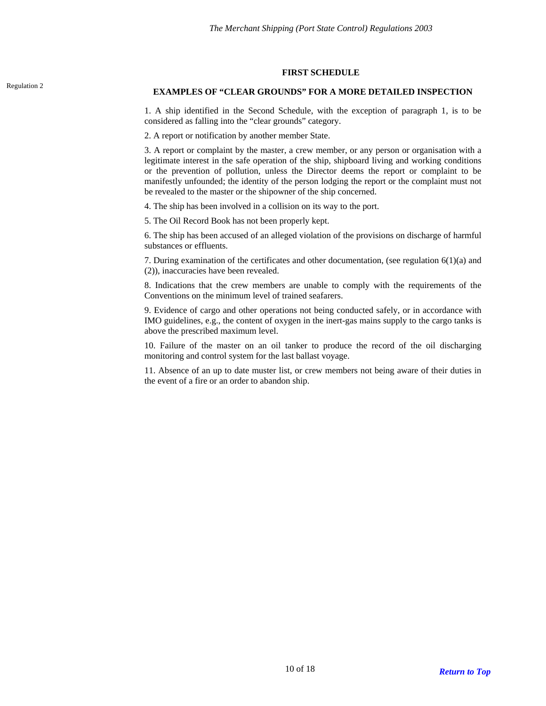#### **FIRST SCHEDULE**

# <span id="page-9-0"></span>Regulation 2 **EXAMPLES OF "CLEAR GROUNDS" FOR A MORE DETAILED INSPECTION**

1. A ship identified in the Second Schedule, with the exception of paragraph 1, is to be considered as falling into the "clear grounds" category.

2. A report or notification by another member State.

3. A report or complaint by the master, a crew member, or any person or organisation with a legitimate interest in the safe operation of the ship, shipboard living and working conditions or the prevention of pollution, unless the Director deems the report or complaint to be manifestly unfounded; the identity of the person lodging the report or the complaint must not be revealed to the master or the shipowner of the ship concerned.

4. The ship has been involved in a collision on its way to the port.

5. The Oil Record Book has not been properly kept.

6. The ship has been accused of an alleged violation of the provisions on discharge of harmful substances or effluents.

7. During examination of the certificates and other documentation, (see regulation  $6(1)(a)$  and (2)), inaccuracies have been revealed.

8. Indications that the crew members are unable to comply with the requirements of the Conventions on the minimum level of trained seafarers.

9. Evidence of cargo and other operations not being conducted safely, or in accordance with IMO guidelines, e.g., the content of oxygen in the inert-gas mains supply to the cargo tanks is above the prescribed maximum level.

10. Failure of the master on an oil tanker to produce the record of the oil discharging monitoring and control system for the last ballast voyage.

11. Absence of an up to date muster list, or crew members not being aware of their duties in the event of a fire or an order to abandon ship.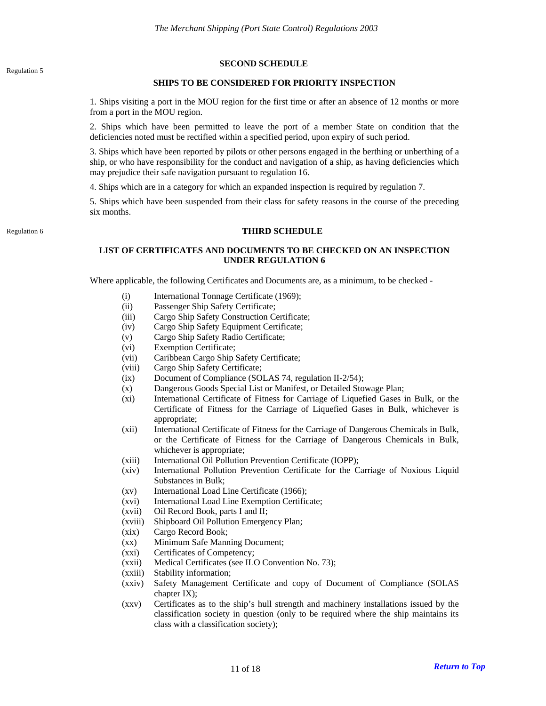# **SECOND SCHEDULE**

## **SHIPS TO BE CONSIDERED FOR PRIORITY INSPECTION**

<span id="page-10-0"></span>1. Ships visiting a port in the MOU region for the first time or after an absence of 12 months or more from a port in the MOU region.

2. Ships which have been permitted to leave the port of a member State on condition that the deficiencies noted must be rectified within a specified period, upon expiry of such period.

3. Ships which have been reported by pilots or other persons engaged in the berthing or unberthing of a ship, or who have responsibility for the conduct and navigation of a ship, as having deficiencies which may prejudice their safe navigation pursuant to regulation 16.

4. Ships which are in a category for which an expanded inspection is required by regulation 7.

5. Ships which have been suspended from their class for safety reasons in the course of the preceding six months.

# <span id="page-10-1"></span>Regulation 6 **THIRD SCHEDULE**

# **LIST OF CERTIFICATES AND DOCUMENTS TO BE CHECKED ON AN INSPECTION UNDER REGULATION 6**

Where applicable, the following Certificates and Documents are, as a minimum, to be checked -

- (i) International Tonnage Certificate (1969);
- (ii) Passenger Ship Safety Certificate;
- (iii) Cargo Ship Safety Construction Certificate;
- (iv) Cargo Ship Safety Equipment Certificate;
- (v) Cargo Ship Safety Radio Certificate;
- (vi) Exemption Certificate;
- (vii) Caribbean Cargo Ship Safety Certificate;
- (viii) Cargo Ship Safety Certificate;
- (ix) Document of Compliance (SOLAS 74, regulation II-2/54);
- (x) Dangerous Goods Special List or Manifest, or Detailed Stowage Plan;
- (xi) International Certificate of Fitness for Carriage of Liquefied Gases in Bulk, or the Certificate of Fitness for the Carriage of Liquefied Gases in Bulk, whichever is appropriate;
- (xii) International Certificate of Fitness for the Carriage of Dangerous Chemicals in Bulk, or the Certificate of Fitness for the Carriage of Dangerous Chemicals in Bulk, whichever is appropriate;
- (xiii) International Oil Pollution Prevention Certificate (IOPP);
- (xiv) International Pollution Prevention Certificate for the Carriage of Noxious Liquid Substances in Bulk;
- (xv) International Load Line Certificate (1966);
- (xvi) International Load Line Exemption Certificate;
- (xvii) Oil Record Book, parts I and II;
- (xviii) Shipboard Oil Pollution Emergency Plan;
- (xix) Cargo Record Book;
- (xx) Minimum Safe Manning Document;
- (xxi) Certificates of Competency;
- (xxii) Medical Certificates (see ILO Convention No. 73);
- (xxiii) Stability information;
- (xxiv) Safety Management Certificate and copy of Document of Compliance (SOLAS chapter IX);
- (xxv) Certificates as to the ship's hull strength and machinery installations issued by the classification society in question (only to be required where the ship maintains its class with a classification society);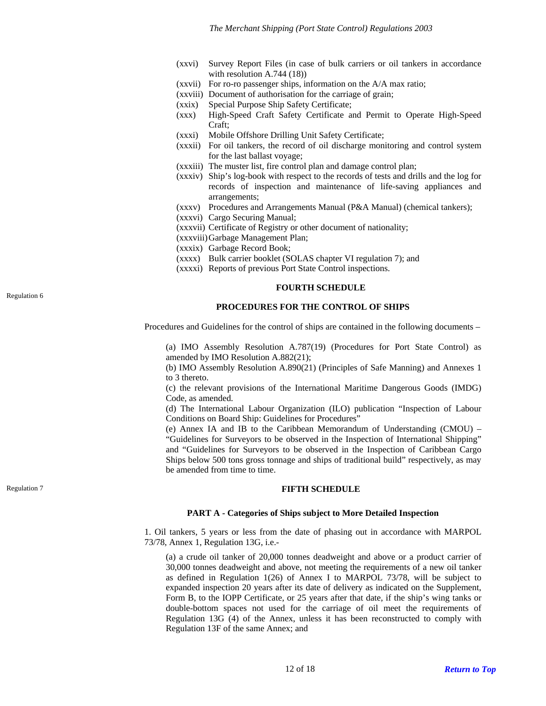- (xxvi) Survey Report Files (in case of bulk carriers or oil tankers in accordance with resolution A.744 (18))
- (xxvii) For ro-ro passenger ships, information on the A/A max ratio;
- (xxviii) Document of authorisation for the carriage of grain;
- (xxix) Special Purpose Ship Safety Certificate;
- (xxx) High-Speed Craft Safety Certificate and Permit to Operate High-Speed Craft;
- (xxxi) Mobile Offshore Drilling Unit Safety Certificate;
- (xxxii) For oil tankers, the record of oil discharge monitoring and control system for the last ballast voyage;
- (xxxiii) The muster list, fire control plan and damage control plan;
- (xxxiv) Ship's log-book with respect to the records of tests and drills and the log for records of inspection and maintenance of life-saving appliances and arrangements;
- (xxxv) Procedures and Arrangements Manual (P&A Manual) (chemical tankers);
- (xxxvi) Cargo Securing Manual;
- (xxxvii) Certificate of Registry or other document of nationality;
- (xxxviii) Garbage Management Plan;
- (xxxix) Garbage Record Book;
- (xxxx) Bulk carrier booklet (SOLAS chapter VI regulation 7); and
- (xxxxi) Reports of previous Port State Control inspections.

#### **FOURTH SCHEDULE**

#### **PROCEDURES FOR THE CONTROL OF SHIPS**

Procedures and Guidelines for the control of ships are contained in the following documents –

(a) IMO Assembly Resolution A.787(19) (Procedures for Port State Control) as amended by IMO Resolution A.882(21);

(b) IMO Assembly Resolution A.890(21) (Principles of Safe Manning) and Annexes 1 to 3 thereto.

(c) the relevant provisions of the International Maritime Dangerous Goods (IMDG) Code, as amended.

(d) The International Labour Organization (ILO) publication "Inspection of Labour Conditions on Board Ship: Guidelines for Procedures"

(e) Annex IA and IB to the Caribbean Memorandum of Understanding (CMOU) – "Guidelines for Surveyors to be observed in the Inspection of International Shipping" and "Guidelines for Surveyors to be observed in the Inspection of Caribbean Cargo Ships below 500 tons gross tonnage and ships of traditional build" respectively, as may be amended from time to time.

# <span id="page-11-1"></span>**Regulation 7 FIFTH SCHEDULE**

#### **PART A - Categories of Ships subject to More Detailed Inspection**

1. Oil tankers, 5 years or less from the date of phasing out in accordance with MARPOL 73/78, Annex 1, Regulation 13G, i.e.-

(a) a crude oil tanker of 20,000 tonnes deadweight and above or a product carrier of 30,000 tonnes deadweight and above, not meeting the requirements of a new oil tanker as defined in Regulation 1(26) of Annex I to MARPOL 73/78, will be subject to expanded inspection 20 years after its date of delivery as indicated on the Supplement, Form B, to the IOPP Certificate, or 25 years after that date, if the ship's wing tanks or double-bottom spaces not used for the carriage of oil meet the requirements of Regulation 13G (4) of the Annex, unless it has been reconstructed to comply with Regulation 13F of the same Annex; and

<span id="page-11-0"></span>Regulation 6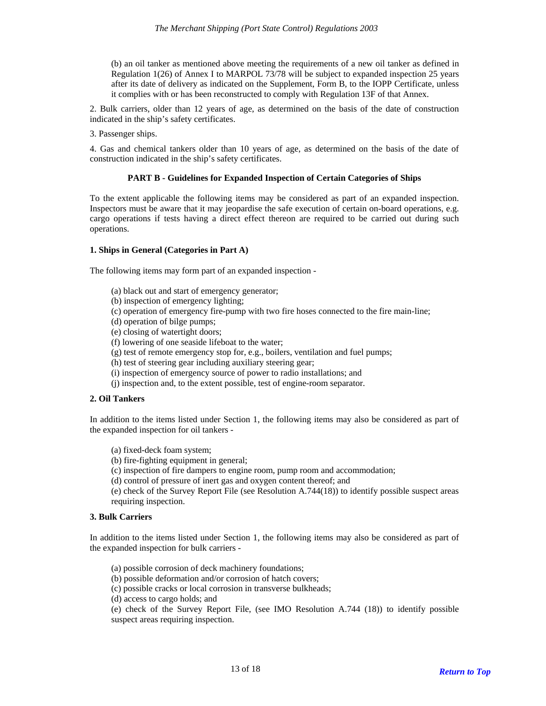(b) an oil tanker as mentioned above meeting the requirements of a new oil tanker as defined in Regulation 1(26) of Annex I to MARPOL 73/78 will be subject to expanded inspection 25 years after its date of delivery as indicated on the Supplement, Form B, to the IOPP Certificate, unless it complies with or has been reconstructed to comply with Regulation 13F of that Annex.

2. Bulk carriers, older than 12 years of age, as determined on the basis of the date of construction indicated in the ship's safety certificates.

3. Passenger ships.

4. Gas and chemical tankers older than 10 years of age, as determined on the basis of the date of construction indicated in the ship's safety certificates.

#### **PART B - Guidelines for Expanded Inspection of Certain Categories of Ships**

To the extent applicable the following items may be considered as part of an expanded inspection. Inspectors must be aware that it may jeopardise the safe execution of certain on-board operations, e.g. cargo operations if tests having a direct effect thereon are required to be carried out during such operations.

# **1. Ships in General (Categories in Part A)**

The following items may form part of an expanded inspection -

- (a) black out and start of emergency generator;
- (b) inspection of emergency lighting;
- (c) operation of emergency fire-pump with two fire hoses connected to the fire main-line;
- (d) operation of bilge pumps;
- (e) closing of watertight doors;
- (f) lowering of one seaside lifeboat to the water;
- (g) test of remote emergency stop for, e.g., boilers, ventilation and fuel pumps;
- (h) test of steering gear including auxiliary steering gear;
- (i) inspection of emergency source of power to radio installations; and
- (j) inspection and, to the extent possible, test of engine-room separator.

#### **2. Oil Tankers**

In addition to the items listed under Section 1, the following items may also be considered as part of the expanded inspection for oil tankers -

- (a) fixed-deck foam system;
- (b) fire-fighting equipment in general;
- (c) inspection of fire dampers to engine room, pump room and accommodation;
- (d) control of pressure of inert gas and oxygen content thereof; and

(e) check of the Survey Report File (see Resolution A.744(18)) to identify possible suspect areas requiring inspection.

#### **3. Bulk Carriers**

In addition to the items listed under Section 1, the following items may also be considered as part of the expanded inspection for bulk carriers -

- (a) possible corrosion of deck machinery foundations;
- (b) possible deformation and/or corrosion of hatch covers;
- (c) possible cracks or local corrosion in transverse bulkheads;
- (d) access to cargo holds; and

(e) check of the Survey Report File, (see IMO Resolution A.744 (18)) to identify possible suspect areas requiring inspection.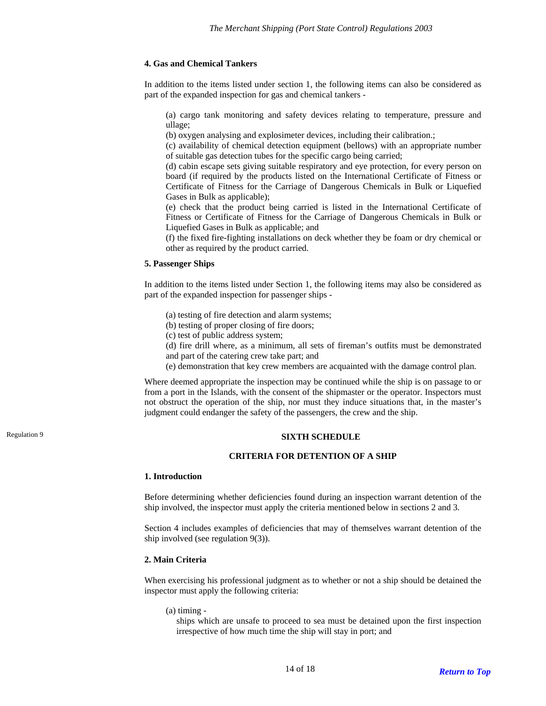# **4. Gas and Chemical Tankers**

In addition to the items listed under section 1, the following items can also be considered as part of the expanded inspection for gas and chemical tankers -

(a) cargo tank monitoring and safety devices relating to temperature, pressure and ullage;

(b) oxygen analysing and explosimeter devices, including their calibration.;

(c) availability of chemical detection equipment (bellows) with an appropriate number of suitable gas detection tubes for the specific cargo being carried;

(d) cabin escape sets giving suitable respiratory and eye protection, for every person on board (if required by the products listed on the International Certificate of Fitness or Certificate of Fitness for the Carriage of Dangerous Chemicals in Bulk or Liquefied Gases in Bulk as applicable);

(e) check that the product being carried is listed in the International Certificate of Fitness or Certificate of Fitness for the Carriage of Dangerous Chemicals in Bulk or Liquefied Gases in Bulk as applicable; and

(f) the fixed fire-fighting installations on deck whether they be foam or dry chemical or other as required by the product carried.

# **5. Passenger Ships**

In addition to the items listed under Section 1, the following items may also be considered as part of the expanded inspection for passenger ships -

- (a) testing of fire detection and alarm systems;
- (b) testing of proper closing of fire doors;
- (c) test of public address system;
- (d) fire drill where, as a minimum, all sets of fireman's outfits must be demonstrated
- and part of the catering crew take part; and
- (e) demonstration that key crew members are acquainted with the damage control plan.

Where deemed appropriate the inspection may be continued while the ship is on passage to or from a port in the Islands, with the consent of the shipmaster or the operator. Inspectors must not obstruct the operation of the ship, nor must they induce situations that, in the master's judgment could endanger the safety of the passengers, the crew and the ship.

# <span id="page-13-0"></span>Regulation 9 **SIXTH SCHEDULE**

## **CRITERIA FOR DETENTION OF A SHIP**

# **1. Introduction**

Before determining whether deficiencies found during an inspection warrant detention of the ship involved, the inspector must apply the criteria mentioned below in sections 2 and 3.

Section 4 includes examples of deficiencies that may of themselves warrant detention of the ship involved (see regulation 9(3)).

#### **2. Main Criteria**

When exercising his professional judgment as to whether or not a ship should be detained the inspector must apply the following criteria:

(a) timing -

ships which are unsafe to proceed to sea must be detained upon the first inspection irrespective of how much time the ship will stay in port; and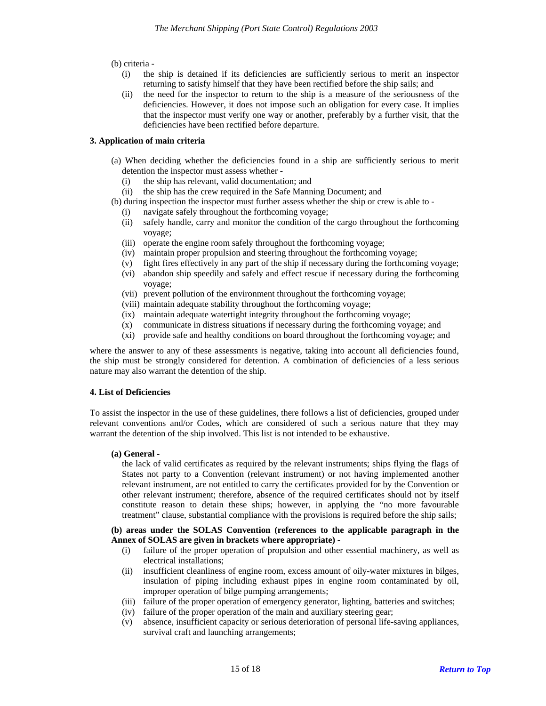(b) criteria -

- (i) the ship is detained if its deficiencies are sufficiently serious to merit an inspector returning to satisfy himself that they have been rectified before the ship sails; and
- (ii) the need for the inspector to return to the ship is a measure of the seriousness of the deficiencies. However, it does not impose such an obligation for every case. It implies that the inspector must verify one way or another, preferably by a further visit, that the deficiencies have been rectified before departure.

## **3. Application of main criteria**

- (a) When deciding whether the deficiencies found in a ship are sufficiently serious to merit detention the inspector must assess whether -
	- (i) the ship has relevant, valid documentation; and
	- (ii) the ship has the crew required in the Safe Manning Document; and
- (b) during inspection the inspector must further assess whether the ship or crew is able to
	- (i) navigate safely throughout the forthcoming voyage;
	- (ii) safely handle, carry and monitor the condition of the cargo throughout the forthcoming voyage;
	- (iii) operate the engine room safely throughout the forthcoming voyage;
	- (iv) maintain proper propulsion and steering throughout the forthcoming voyage;
	- (v) fight fires effectively in any part of the ship if necessary during the forthcoming voyage;
	- (vi) abandon ship speedily and safely and effect rescue if necessary during the forthcoming voyage;
	- (vii) prevent pollution of the environment throughout the forthcoming voyage;
	- (viii) maintain adequate stability throughout the forthcoming voyage;
	- (ix) maintain adequate watertight integrity throughout the forthcoming voyage;
	- (x) communicate in distress situations if necessary during the forthcoming voyage; and
	- (xi) provide safe and healthy conditions on board throughout the forthcoming voyage; and

where the answer to any of these assessments is negative, taking into account all deficiencies found, the ship must be strongly considered for detention. A combination of deficiencies of a less serious nature may also warrant the detention of the ship.

## **4. List of Deficiencies**

To assist the inspector in the use of these guidelines, there follows a list of deficiencies, grouped under relevant conventions and/or Codes, which are considered of such a serious nature that they may warrant the detention of the ship involved. This list is not intended to be exhaustive.

## **(a) General -**

the lack of valid certificates as required by the relevant instruments; ships flying the flags of States not party to a Convention (relevant instrument) or not having implemented another relevant instrument, are not entitled to carry the certificates provided for by the Convention or other relevant instrument; therefore, absence of the required certificates should not by itself constitute reason to detain these ships; however, in applying the "no more favourable treatment" clause, substantial compliance with the provisions is required before the ship sails;

**(b) areas under the SOLAS Convention (references to the applicable paragraph in the Annex of SOLAS are given in brackets where appropriate) -** 

- (i) failure of the proper operation of propulsion and other essential machinery, as well as electrical installations;
- (ii) insufficient cleanliness of engine room, excess amount of oily-water mixtures in bilges, insulation of piping including exhaust pipes in engine room contaminated by oil, improper operation of bilge pumping arrangements;
- (iii) failure of the proper operation of emergency generator, lighting, batteries and switches;
- (iv) failure of the proper operation of the main and auxiliary steering gear;
- (v) absence, insufficient capacity or serious deterioration of personal life-saving appliances, survival craft and launching arrangements;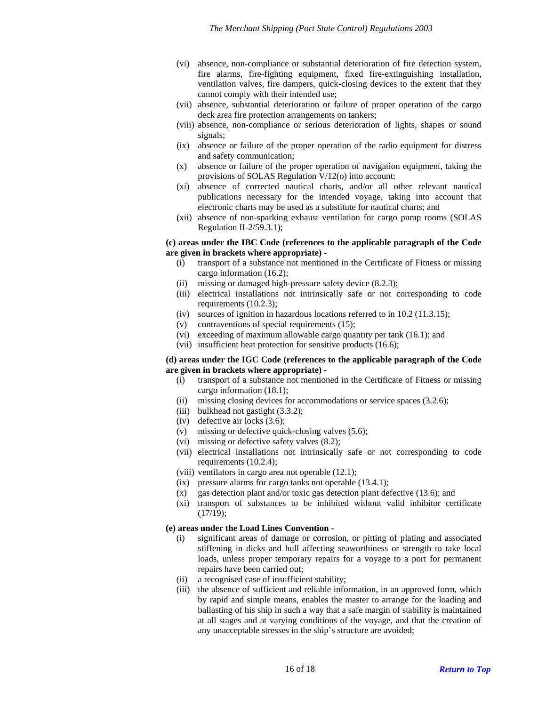- (vi) absence, non-compliance or substantial deterioration of fire detection system, fire alarms, fire-fighting equipment, fixed fire-extinguishing installation, ventilation valves, fire dampers, quick-closing devices to the extent that they cannot comply with their intended use;
- (vii) absence, substantial deterioration or failure of proper operation of the cargo deck area fire protection arrangements on tankers;
- (viii) absence, non-compliance or serious deterioration of lights, shapes or sound signals;
- (ix) absence or failure of the proper operation of the radio equipment for distress and safety communication;
- (x) absence or failure of the proper operation of navigation equipment, taking the provisions of SOLAS Regulation V/12(o) into account;
- (xi) absence of corrected nautical charts, and/or all other relevant nautical publications necessary for the intended voyage, taking into account that electronic charts may be used as a substitute for nautical charts; and
- (xii) absence of non-sparking exhaust ventilation for cargo pump rooms (SOLAS Regulation II-2/59.3.1);

## **(c) areas under the IBC Code (references to the applicable paragraph of the Code are given in brackets where appropriate) -**

- (i) transport of a substance not mentioned in the Certificate of Fitness or missing cargo information (16.2);
- (ii) missing or damaged high-pressure safety device (8.2.3);
- (iii) electrical installations not intrinsically safe or not corresponding to code requirements (10.2.3);
- (iv) sources of ignition in hazardous locations referred to in 10.2 (11.3.15);
- (v) contraventions of special requirements (15);
- (vi) exceeding of maximum allowable cargo quantity per tank (16.1); and
- (vii) insufficient heat protection for sensitive products (16.6);

## **(d) areas under the IGC Code (references to the applicable paragraph of the Code are given in brackets where appropriate) -**

- (i) transport of a substance not mentioned in the Certificate of Fitness or missing cargo information (18.1);
- (ii) missing closing devices for accommodations or service spaces (3.2.6);
- (iii) bulkhead not gastight (3.3.2);
- (iv) defective air locks (3.6);
- (v) missing or defective quick-closing valves (5.6);
- (vi) missing or defective safety valves (8.2);
- (vii) electrical installations not intrinsically safe or not corresponding to code requirements (10.2.4);
- (viii) ventilators in cargo area not operable (12.1);
- (ix) pressure alarms for cargo tanks not operable (13.4.1);
- (x) gas detection plant and/or toxic gas detection plant defective (13.6); and
- (xi) transport of substances to be inhibited without valid inhibitor certificate (17/19);

#### **(e) areas under the Load Lines Convention -**

- (i) significant areas of damage or corrosion, or pitting of plating and associated stiffening in dicks and hull affecting seaworthiness or strength to take local loads, unless proper temporary repairs for a voyage to a port for permanent repairs have been carried out;
- (ii) a recognised case of insufficient stability;
- (iii) the absence of sufficient and reliable information, in an approved form, which by rapid and simple means, enables the master to arrange for the loading and ballasting of his ship in such a way that a safe margin of stability is maintained at all stages and at varying conditions of the voyage, and that the creation of any unacceptable stresses in the ship's structure are avoided;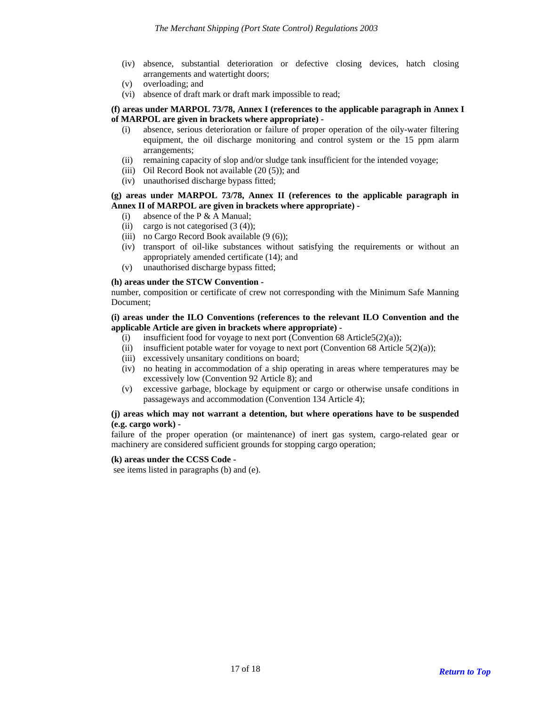- (iv) absence, substantial deterioration or defective closing devices, hatch closing arrangements and watertight doors;
- (v) overloading; and
- (vi) absence of draft mark or draft mark impossible to read;

## **(f) areas under MARPOL 73/78, Annex I (references to the applicable paragraph in Annex I of MARPOL are given in brackets where appropriate) -**

- (i) absence, serious deterioration or failure of proper operation of the oily-water filtering equipment, the oil discharge monitoring and control system or the 15 ppm alarm arrangements;
- (ii) remaining capacity of slop and/or sludge tank insufficient for the intended voyage;
- (iii) Oil Record Book not available  $(20 (5))$ ; and
- (iv) unauthorised discharge bypass fitted;

# **(g) areas under MARPOL 73/78, Annex II (references to the applicable paragraph in Annex II of MARPOL are given in brackets where appropriate) -**

- (i) absence of the P  $&$  A Manual;
- (ii) cargo is not categorised  $(3 (4))$ ;
- (iii) no Cargo Record Book available  $(9(6))$ ;
- (iv) transport of oil-like substances without satisfying the requirements or without an appropriately amended certificate (14); and
- (v) unauthorised discharge bypass fitted;

#### **(h) areas under the STCW Convention -**

number, composition or certificate of crew not corresponding with the Minimum Safe Manning Document;

## **(i) areas under the ILO Conventions (references to the relevant ILO Convention and the applicable Article are given in brackets where appropriate) -**

- (i) insufficient food for voyage to next port (Convention 68 Article5(2)(a));
- (ii) insufficient potable water for voyage to next port (Convention 68 Article  $5(2)(a)$ );
- (iii) excessively unsanitary conditions on board;
- (iv) no heating in accommodation of a ship operating in areas where temperatures may be excessively low (Convention 92 Article 8); and
- (v) excessive garbage, blockage by equipment or cargo or otherwise unsafe conditions in passageways and accommodation (Convention 134 Article 4);

## **(j) areas which may not warrant a detention, but where operations have to be suspended (e.g. cargo work) -**

failure of the proper operation (or maintenance) of inert gas system, cargo-related gear or machinery are considered sufficient grounds for stopping cargo operation;

#### **(k) areas under the CCSS Code -**

see items listed in paragraphs (b) and (e).